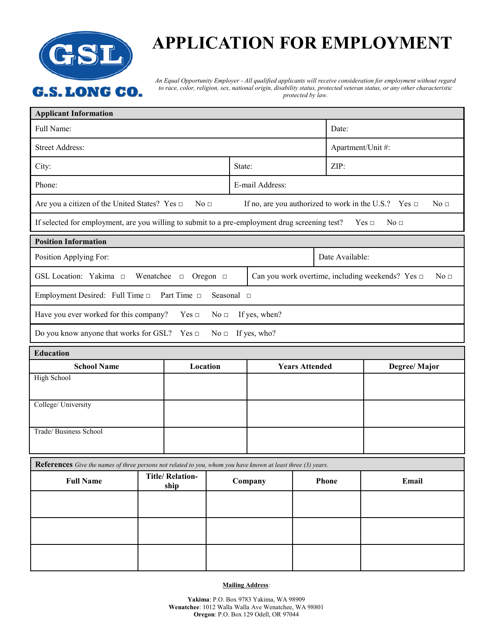

## **APPLICATION FOR EMPLOYMENT**

*An Equal Opportunity Employer - All qualified applicants will receive consideration for employment without regard to race, color, religion, sex, national origin, disability status, protected veteran status, or any other characteristic protected by law.*

| <b>Applicant Information</b>                                                                                                                     |                                |          |         |                                                                          |                       |                 |       |                   |  |
|--------------------------------------------------------------------------------------------------------------------------------------------------|--------------------------------|----------|---------|--------------------------------------------------------------------------|-----------------------|-----------------|-------|-------------------|--|
| Full Name:                                                                                                                                       |                                |          |         |                                                                          |                       |                 | Date: |                   |  |
| <b>Street Address:</b>                                                                                                                           |                                |          |         |                                                                          |                       |                 |       | Apartment/Unit #: |  |
| City:                                                                                                                                            |                                |          |         | State:                                                                   |                       |                 | ZIP:  |                   |  |
| Phone:                                                                                                                                           |                                |          |         | E-mail Address:                                                          |                       |                 |       |                   |  |
| Are you a citizen of the United States? Yes □<br>No <sub>1</sub><br>If no, are you authorized to work in the U.S.? Yes $\Box$<br>No <sub>□</sub> |                                |          |         |                                                                          |                       |                 |       |                   |  |
| If selected for employment, are you willing to submit to a pre-employment drug screening test?<br>$Yes \Box$<br>No <sub>□</sub>                  |                                |          |         |                                                                          |                       |                 |       |                   |  |
| <b>Position Information</b>                                                                                                                      |                                |          |         |                                                                          |                       |                 |       |                   |  |
| Position Applying For:                                                                                                                           |                                |          |         |                                                                          |                       | Date Available: |       |                   |  |
| GSL Location: Yakima $\square$<br>Wenatchee $\Box$ Oregon $\Box$                                                                                 |                                |          |         | Can you work overtime, including weekends? Yes $\Box$<br>No <sub>□</sub> |                       |                 |       |                   |  |
| Employment Desired: Full Time $\square$<br>Part Time $\Box$<br>Seasonal $\square$                                                                |                                |          |         |                                                                          |                       |                 |       |                   |  |
| Have you ever worked for this company?<br>If yes, when?<br>$Yes \Box$<br>No <sub>□</sub>                                                         |                                |          |         |                                                                          |                       |                 |       |                   |  |
| Do you know anyone that works for GSL? Yes $\Box$<br>$No \square$ If yes, who?                                                                   |                                |          |         |                                                                          |                       |                 |       |                   |  |
| <b>Education</b>                                                                                                                                 |                                |          |         |                                                                          |                       |                 |       |                   |  |
| <b>School Name</b>                                                                                                                               |                                | Location |         |                                                                          | <b>Years Attended</b> |                 |       | Degree/Major      |  |
| High School                                                                                                                                      |                                |          |         |                                                                          |                       |                 |       |                   |  |
| College/ University                                                                                                                              |                                |          |         |                                                                          |                       |                 |       |                   |  |
| Trade/ Business School                                                                                                                           |                                |          |         |                                                                          |                       |                 |       |                   |  |
|                                                                                                                                                  |                                |          |         |                                                                          |                       |                 |       |                   |  |
| References Give the names of three persons not related to you, whom you have known at least three (3) years.                                     |                                |          |         |                                                                          |                       |                 |       |                   |  |
| <b>Full Name</b>                                                                                                                                 | <b>Title/Relation-</b><br>ship |          | Company |                                                                          |                       | Phone           |       | Email             |  |
|                                                                                                                                                  |                                |          |         |                                                                          |                       |                 |       |                   |  |
|                                                                                                                                                  |                                |          |         |                                                                          |                       |                 |       |                   |  |
|                                                                                                                                                  |                                |          |         |                                                                          |                       |                 |       |                   |  |
|                                                                                                                                                  |                                |          |         |                                                                          |                       |                 |       |                   |  |

**Mailing Address**: